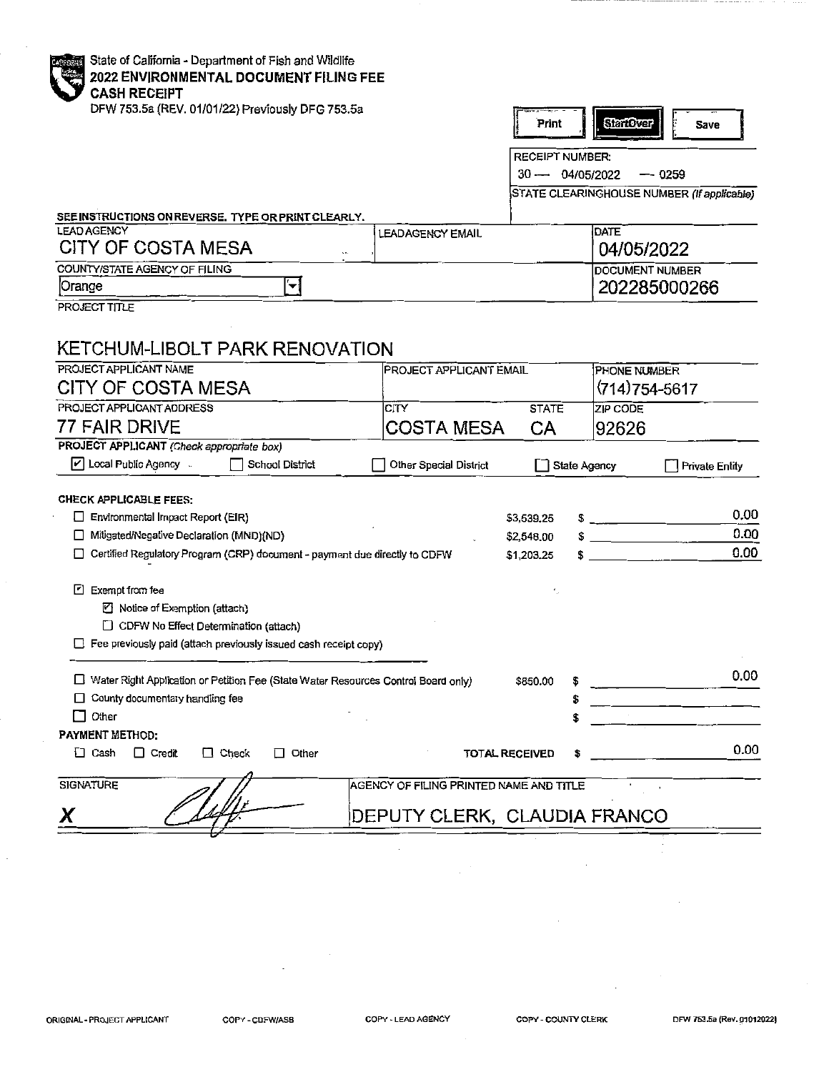| erorn<br>ø |  |
|------------|--|
|            |  |
|            |  |
|            |  |

itate of California - Department of Fish and Wildlife 2022 ENVIRONMENTAL DOCUMENT FILING FEE **CASH RECEIPT** 

DFW 753.5a (REV. 01/01/22) Previously DFG 753.5a

| int | <b>AFORE</b> | ы |  | <b>IVR</b> |  |
|-----|--------------|---|--|------------|--|
|-----|--------------|---|--|------------|--|

RECEIPT NUMBER:

30 — 04/05/2022 — 0259

STATE CLEARINGHOUSE NUMBER (If applicable)

SEE INSTRUCTIONS ON REVERSE. TYPE OR PRINT CLEARLY.

| <b>LEAD AGENCY</b><br>CITY OF COSTA MESA<br>$\sim$ | LEADAGENCY EMAIL | DATE<br>04/05/2022      |
|----------------------------------------------------|------------------|-------------------------|
| COUNTY/STATE AGENCY OF FILING                      |                  | <b>IDOCUMENT NUMBER</b> |
| Orange                                             |                  | 202285000266            |

PROJECT TITLE

## KETCHUM-LIBOLT PARK RENOVATION

| PROJECT APPLICANT NAME                                                             | <b>PROJECT APPLICANT EMAIL</b>          |                       | PHONE NUMBER                                   |                                                                                                                                                                                                                                      |
|------------------------------------------------------------------------------------|-----------------------------------------|-----------------------|------------------------------------------------|--------------------------------------------------------------------------------------------------------------------------------------------------------------------------------------------------------------------------------------|
| CITY OF COSTA MESA                                                                 |                                         |                       | $(714)754 - 5617$                              |                                                                                                                                                                                                                                      |
| PROJECT APPLICANT ADDRESS                                                          | CITY                                    | <b>STATE</b>          | ZIP CODE                                       |                                                                                                                                                                                                                                      |
| 77 FAIR DRIVE                                                                      | <b>COSTA MESA</b>                       | СA                    | 92626                                          |                                                                                                                                                                                                                                      |
| PROJECT APPLICANT (Check appropriate box)                                          |                                         |                       |                                                |                                                                                                                                                                                                                                      |
| $ v $ Local Public Agency<br>School District                                       | Other Special District                  |                       | State Agency                                   | <b>Private Entity</b>                                                                                                                                                                                                                |
| <b>CHECK APPLICABLE FEES:</b>                                                      |                                         |                       |                                                |                                                                                                                                                                                                                                      |
| Environmental Impact Report (EIR)<br>U                                             |                                         | \$3,539,25            | <u> The Communication of the Communication</u> | 0.00                                                                                                                                                                                                                                 |
| Mitigated/Negative Declaration (MND)(ND)<br>□                                      |                                         | \$2,548.00            | <u> 1980 - John Barn Barn, amerikan</u>        | 0.00                                                                                                                                                                                                                                 |
| Certified Regulatory Program (CRP) document - payment due directly to CDFW<br>П    |                                         | \$1,203,25            |                                                | 0.00                                                                                                                                                                                                                                 |
|                                                                                    |                                         |                       |                                                |                                                                                                                                                                                                                                      |
| ┍<br>Exempt from fee                                                               |                                         |                       |                                                |                                                                                                                                                                                                                                      |
| ■ Notice of Exemption (attach)                                                     |                                         |                       |                                                |                                                                                                                                                                                                                                      |
| $\Box$ CDFW No Effect Determination (attach)                                       |                                         |                       |                                                |                                                                                                                                                                                                                                      |
| $\Box$ Fee previously paid (attach previously issued cash receipt copy)            |                                         |                       |                                                |                                                                                                                                                                                                                                      |
|                                                                                    |                                         |                       |                                                | 0.00                                                                                                                                                                                                                                 |
| Water Right Application or Petition Fee (State Water Resources Control Board only) |                                         | \$850.00              |                                                |                                                                                                                                                                                                                                      |
| County documentary handling fee                                                    |                                         | \$                    |                                                | <u> 1980 - Andrea Maria II, am Fàrtain Aonaichte an t-Iarlan an t-Iarlan an t-Iarlan an t-Iarlan an t-Iarlan an t-Iarlan an t-Iarlan an t-Iarlan an t-Iarlan an t-Iarlan an t-Iarlan an t-Iarlan an t-Iarlan an t-Iarlan an t-Ia</u> |
| Other                                                                              |                                         |                       |                                                |                                                                                                                                                                                                                                      |
| <b>PAYMENT METHOD:</b>                                                             |                                         |                       |                                                |                                                                                                                                                                                                                                      |
| $\Box$ Cash<br>$\Box$ Credit<br>Check<br>Other<br>$\Box$                           |                                         | <b>TOTAL RECEIVED</b> |                                                | 0.00                                                                                                                                                                                                                                 |
| <b>SIGNATURE</b>                                                                   | AGENCY OF FILING PRINTED NAME AND TITLE |                       |                                                |                                                                                                                                                                                                                                      |
| Χ                                                                                  | DEPUTY CLERK, CLAUDIA FRANCO            |                       |                                                |                                                                                                                                                                                                                                      |